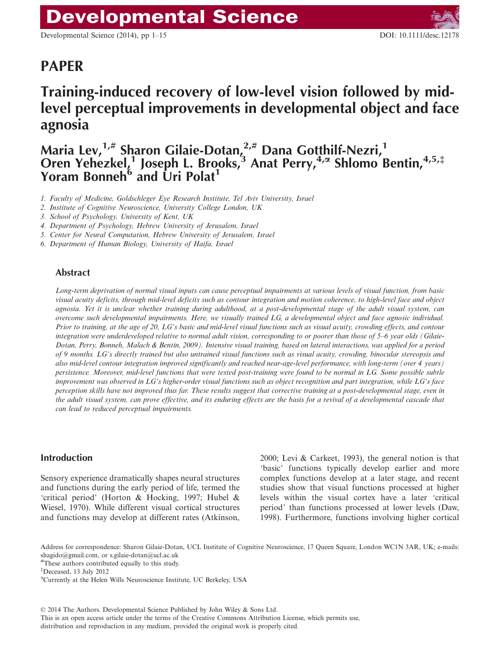Developmental Science (2014), pp 1–15 DOI: 10.1111/desc.12178

# PAPER

# Training-induced recovery of low-level vision followed by midlevel perceptual improvements in developmental object and face agnosia

Maria Lev,  $1,^\#$  Sharon Gilaie-Dotan,  $2,^\#$  Dana Gotthilf-Nezri,  $^1$ Oren Yehezkel,<sup>1</sup> Joseph L. Brooks,<sup>3</sup> Anat Perry,<sup>4, $\alpha$ </sup> Shlomo Bentin,<sup>4,5, $\ddagger$ </sup> Yoram Bonneh<sup>6</sup> and Uri Polat<sup>1</sup>

1. Faculty of Medicine, Goldschleger Eye Research Institute, Tel Aviv University, Israel

2. Institute of Cognitive Neuroscience, University College London, UK

3. School of Psychology, University of Kent, UK

4. Department of Psychology, Hebrew University of Jerusalem, Israel

5. Center for Neural Computation, Hebrew University of Jerusalem, Israel

6. Department of Human Biology, University of Haifa, Israel

# Abstract

Long-term deprivation of normal visual inputs can cause perceptual impairments at various levels of visual function, from basic visual acuity deficits, through mid-level deficits such as contour integration and motion coherence, to high-level face and object agnosia. Yet it is unclear whether training during adulthood, at a post-developmental stage of the adult visual system, can overcome such developmental impairments. Here, we visually trained LG, a developmental object and face agnosic individual. Prior to training, at the age of 20, LG's basic and mid-level visual functions such as visual acuity, crowding effects, and contour integration were underdeveloped relative to normal adult vision, corresponding to or poorer than those of 5–6 year olds (Gilaie-Dotan, Perry, Bonneh, Malach & Bentin, 2009). Intensive visual training, based on lateral interactions, was applied for a period of 9 months. LG's directly trained but also untrained visual functions such as visual acuity, crowding, binocular stereopsis and also mid-level contour integration improved significantly and reached near-age-level performance, with long-term (over 4 years) persistence. Moreover, mid-level functions that were tested post-training were found to be normal in LG. Some possible subtle improvement was observed in LG's higher-order visual functions such as object recognition and part integration, while LG's face perception skills have not improved thus far. These results suggest that corrective training at a post-developmental stage, even in the adult visual system, can prove effective, and its enduring effects are the basis for a revival of a developmental cascade that can lead to reduced perceptual impairments.

# Introduction

Sensory experience dramatically shapes neural structures and functions during the early period of life, termed the 'critical period' (Horton & Hocking, 1997; Hubel & Wiesel, 1970). While different visual cortical structures and functions may develop at different rates (Atkinson, 2000; Levi & Carkeet, 1993), the general notion is that 'basic' functions typically develop earlier and more complex functions develop at a later stage, and recent studies show that visual functions processed at higher levels within the visual cortex have a later 'critical period' than functions processed at lower levels (Daw, 1998). Furthermore, functions involving higher cortical

Address for correspondence: Sharon Gilaie-Dotan, UCL Institute of Cognitive Neuroscience, 17 Queen Square, London WC1N 3AR, UK; e-mails: shagido@gmail.com, or s.gilaie-dotan@ucl.ac.uk

# These authors contributed equally to this study.

‡ Deceased, 13 July 2012

a Currently at the Helen Wills Neuroscience Institute, UC Berkeley, USA

© 2014 The Authors. Developmental Science Published by John Wiley & Sons Ltd.

This is an open access article under the terms of the Creative Commons Attribution License, which permits use,

distribution and reproduction in any medium, provided the original work is properly cited.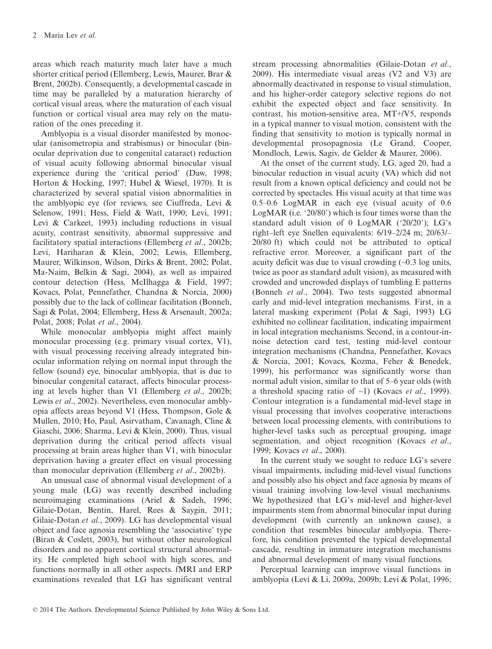areas which reach maturity much later have a much shorter critical period (Ellemberg, Lewis, Maurer, Brar & Brent, 2002b). Consequently, a developmental cascade in time may be paralleled by a maturation hierarchy of cortical visual areas, where the maturation of each visual function or cortical visual area may rely on the maturation of the ones preceding it.

Amblyopia is a visual disorder manifested by monocular (anisometropia and strabismus) or binocular (binocular deprivation due to congenital cataract) reduction of visual acuity following abnormal binocular visual experience during the 'critical period' (Daw, 1998; Horton & Hocking, 1997; Hubel & Wiesel, 1970). It is characterized by several spatial vision abnormalities in the amblyopic eye (for reviews, see Ciuffreda, Levi & Selenow, 1991; Hess, Field & Watt, 1990; Levi, 1991; Levi & Carkeet, 1993) including reductions in visual acuity, contrast sensitivity, abnormal suppressive and facilitatory spatial interactions (Ellemberg et al., 2002b; Levi, Hariharan & Klein, 2002; Lewis, Ellemberg, Maurer, Wilkinson, Wilson, Dirks & Brent, 2002; Polat, Ma-Naim, Belkin & Sagi, 2004), as well as impaired contour detection (Hess, McIlhagga & Field, 1997; Kovacs, Polat, Pennefather, Chandna & Norcia, 2000) possibly due to the lack of collinear facilitation (Bonneh, Sagi & Polat, 2004; Ellemberg, Hess & Arsenault, 2002a; Polat, 2008; Polat et al., 2004).

While monocular amblyopia might affect mainly monocular processing (e.g. primary visual cortex, V1), with visual processing receiving already integrated binocular information relying on normal input through the fellow (sound) eye, binocular amblyopia, that is due to binocular congenital cataract, affects binocular processing at levels higher than V1 (Ellemberg *et al.*, 2002b; Lewis et al., 2002). Nevertheless, even monocular amblyopia affects areas beyond V1 (Hess, Thompson, Gole & Mullen, 2010; Ho, Paul, Asirvatham, Cavanagh, Cline & Giaschi, 2006; Sharma, Levi & Klein, 2000). Thus, visual deprivation during the critical period affects visual processing at brain areas higher than V1, with binocular deprivation having a greater effect on visual processing than monocular deprivation (Ellemberg et al., 2002b).

An unusual case of abnormal visual development of a young male (LG) was recently described including neuroimaging examinations (Ariel & Sadeh, 1996; Gilaie-Dotan, Bentin, Harel, Rees & Saygin, 2011; Gilaie-Dotan et al., 2009). LG has developmental visual object and face agnosia resembling the 'associative' type (Biran & Coslett, 2003), but without other neurological disorders and no apparent cortical structural abnormality. He completed high school with high scores, and functions normally in all other aspects. fMRI and ERP examinations revealed that LG has significant ventral stream processing abnormalities (Gilaie-Dotan et al., 2009). His intermediate visual areas (V2 and V3) are abnormally deactivated in response to visual stimulation, and his higher-order category selective regions do not exhibit the expected object and face sensitivity. In contrast, his motion-sensitive area, MT+/V5, responds in a typical manner to visual motion, consistent with the finding that sensitivity to motion is typically normal in developmental prosopagnosia (Le Grand, Cooper, Mondloch, Lewis, Sagiv, de Gelder & Maurer, 2006).

At the onset of the current study, LG, aged 20, had a binocular reduction in visual acuity (VA) which did not result from a known optical deficiency and could not be corrected by spectacles. His visual acuity at that time was 0.5–0.6 LogMAR in each eye (visual acuity of 0.6 LogMAR (i.e. '20/80') which is four times worse than the standard adult vision of 0 LogMAR ('20/20'); LG's right–left eye Snellen equivalents: 6/19–2/24 m; 20/63/– 20/80 ft) which could not be attributed to optical refractive error. Moreover, a significant part of the acuity deficit was due to visual crowding  $(\sim 0.3 \text{ log units})$ , twice as poor as standard adult vision), as measured with crowded and uncrowded displays of tumbling E patterns (Bonneh et al., 2004). Two tests suggested abnormal early and mid-level integration mechanisms. First, in a lateral masking experiment (Polat & Sagi, 1993) LG exhibited no collinear facilitation, indicating impairment in local integration mechanisms. Second, in a contour-innoise detection card test, testing mid-level contour integration mechanisms (Chandna, Pennefather, Kovacs & Norcia, 2001; Kovacs, Kozma, Feher & Benedek, 1999), his performance was significantly worse than normal adult vision, similar to that of 5–6 year olds (with a threshold spacing ratio of  $\sim$ 1) (Kovacs *et al.*, 1999). Contour integration is a fundamental mid-level stage in visual processing that involves cooperative interactions between local processing elements, with contributions to higher-level tasks such as perceptual grouping, image segmentation, and object recognition (Kovacs et al., 1999; Kovacs et al., 2000).

In the current study we sought to reduce LG's severe visual impairments, including mid-level visual functions and possibly also his object and face agnosia by means of visual training involving low-level visual mechanisms. We hypothesized that LG's mid-level and higher-level impairments stem from abnormal binocular input during development (with currently an unknown cause), a condition that resembles binocular amblyopia. Therefore, his condition prevented the typical developmental cascade, resulting in immature integration mechanisms and abnormal development of many visual functions.

Perceptual learning can improve visual functions in amblyopia (Levi & Li, 2009a, 2009b; Levi & Polat, 1996;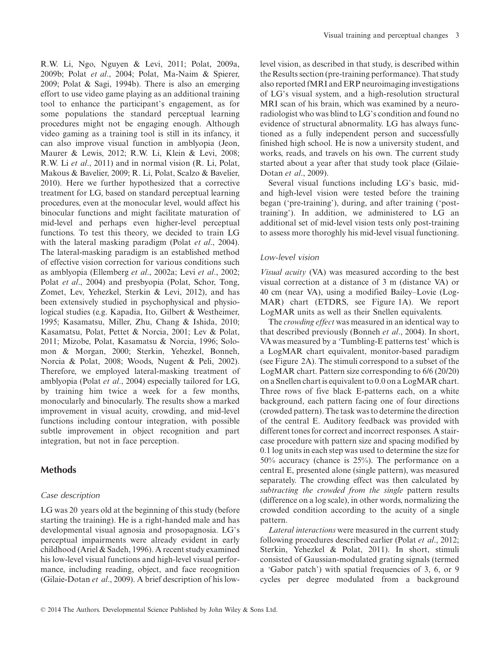R.W. Li, Ngo, Nguyen & Levi, 2011; Polat, 2009a, 2009b; Polat et al., 2004; Polat, Ma-Naim & Spierer, 2009; Polat & Sagi, 1994b). There is also an emerging effort to use video game playing as an additional training tool to enhance the participant's engagement, as for some populations the standard perceptual learning procedures might not be engaging enough. Although video gaming as a training tool is still in its infancy, it can also improve visual function in amblyopia (Jeon, Maurer & Lewis, 2012; R.W. Li, Klein & Levi, 2008; R.W. Li et al., 2011) and in normal vision (R. Li, Polat, Makous & Bavelier, 2009; R. Li, Polat, Scalzo & Bavelier, 2010). Here we further hypothesized that a corrective treatment for LG, based on standard perceptual learning procedures, even at the monocular level, would affect his binocular functions and might facilitate maturation of mid-level and perhaps even higher-level perceptual functions. To test this theory, we decided to train LG with the lateral masking paradigm (Polat *et al.*, 2004). The lateral-masking paradigm is an established method of effective vision correction for various conditions such as amblyopia (Ellemberg et al., 2002a; Levi et al., 2002; Polat et al., 2004) and presbyopia (Polat, Schor, Tong, Zomet, Lev, Yehezkel, Sterkin & Levi, 2012), and has been extensively studied in psychophysical and physiological studies (e.g. Kapadia, Ito, Gilbert & Westheimer, 1995; Kasamatsu, Miller, Zhu, Chang & Ishida, 2010; Kasamatsu, Polat, Pettet & Norcia, 2001; Lev & Polat, 2011; Mizobe, Polat, Kasamatsu & Norcia, 1996; Solomon & Morgan, 2000; Sterkin, Yehezkel, Bonneh, Norcia & Polat, 2008; Woods, Nugent & Peli, 2002). Therefore, we employed lateral-masking treatment of amblyopia (Polat et al., 2004) especially tailored for LG, by training him twice a week for a few months, monocularly and binocularly. The results show a marked improvement in visual acuity, crowding, and mid-level functions including contour integration, with possible subtle improvement in object recognition and part integration, but not in face perception.

## **Methods**

## Case description

LG was 20 years old at the beginning of this study (before starting the training). He is a right-handed male and has developmental visual agnosia and prosopagnosia. LG's perceptual impairments were already evident in early childhood (Ariel & Sadeh, 1996). A recent study examined his low-level visual functions and high-level visual performance, including reading, object, and face recognition (Gilaie-Dotan et al., 2009). A brief description of his lowlevel vision, as described in that study, is described within the Results section (pre-training performance). That study also reported fMRI and ERP neuroimaging investigations of LG's visual system, and a high-resolution structural MRI scan of his brain, which was examined by a neuroradiologist who was blind to LG's condition and found no evidence of structural abnormality. LG has always functioned as a fully independent person and successfully finished high school. He is now a university student, and works, reads, and travels on his own. The current study started about a year after that study took place (Gilaie-Dotan et al., 2009).

Several visual functions including LG's basic, midand high-level vision were tested before the training began ('pre-training'), during, and after training ('posttraining'). In addition, we administered to LG an additional set of mid-level vision tests only post-training to assess more thoroghly his mid-level visual functioning.

## Low-level vision

Visual acuity (VA) was measured according to the best visual correction at a distance of 3 m (distance VA) or 40 cm (near VA), using a modified Bailey–Lovie (Log-MAR) chart (ETDRS, see Figure 1A). We report LogMAR units as well as their Snellen equivalents.

The crowding effect was measured in an identical way to that described previously (Bonneh et al., 2004). In short, VAwas measured by a 'Tumbling-E patterns test' which is a LogMAR chart equivalent, monitor-based paradigm (see Figure 2A). The stimuli correspond to a subset of the LogMAR chart. Pattern size corresponding to 6/6 (20/20) on a Snellen chart is equivalent to 0.0 on a LogMAR chart. Three rows of five black E-patterns each, on a white background, each pattern facing one of four directions (crowded pattern). The task was to determine the direction of the central E. Auditory feedback was provided with different tones for correct and incorrect responses. A staircase procedure with pattern size and spacing modified by 0.1 log units in each step was used to determine the size for 50% accuracy (chance is 25%). The performance on a central E, presented alone (single pattern), was measured separately. The crowding effect was then calculated by subtracting the crowded from the single pattern results (difference on a log scale), in other words, normalizing the crowded condition according to the acuity of a single pattern.

Lateral interactions were measured in the current study following procedures described earlier (Polat et al., 2012; Sterkin, Yehezkel & Polat, 2011). In short, stimuli consisted of Gaussian-modulated grating signals (termed a 'Gabor patch') with spatial frequencies of 3, 6, or 9 cycles per degree modulated from a background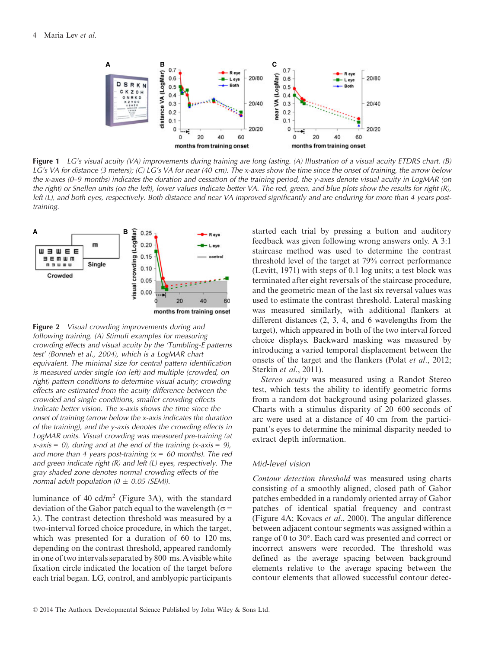

Figure 1 LG's visual acuity (VA) improvements during training are long lasting. (A) Illustration of a visual acuity ETDRS chart. (B) LG's VA for distance (3 meters); (C) LG's VA for near (40 cm). The x-axes show the time since the onset of training, the arrow below the x-axes (0–9 months) indicates the duration and cessation of the training period, the y-axes denote visual acuity in LogMAR (on the right) or Snellen units (on the left), lower values indicate better VA. The red, green, and blue plots show the results for right (R), left (L), and both eyes, respectively. Both distance and near VA improved significantly and are enduring for more than 4 years posttraining.



**Figure 2** Visual crowding improvements during and following training. (A) Stimuli examples for measuring crowding effects and visual acuity by the 'Tumbling-E patterns test' (Bonneh et al., 2004), which is a LogMAR chart equivalent. The minimal size for central pattern identification is measured under single (on left) and multiple (crowded, on right) pattern conditions to determine visual acuity; crowding effects are estimated from the acuity difference between the crowded and single conditions, smaller crowding effects indicate better vision. The x-axis shows the time since the onset of training (arrow below the x-axis indicates the duration of the training), and the y-axis denotes the crowding effects in LogMAR units. Visual crowding was measured pre-training (at  $x$ -axis = 0), during and at the end of the training  $(x)$ -axis = 9), and more than 4 years post-training  $(x = 60$  months). The red and green indicate right (R) and left (L) eyes, respectively. The gray shaded zone denotes normal crowding effects of the normal adult population ( $0 \pm 0.05$  (SEM)).

luminance of 40 cd/ $m<sup>2</sup>$  (Figure 3A), with the standard deviation of the Gabor patch equal to the wavelength ( $\sigma$  =  $\lambda$ ). The contrast detection threshold was measured by a two-interval forced choice procedure, in which the target, which was presented for a duration of 60 to 120 ms, depending on the contrast threshold, appeared randomly in one of two intervals separated by 800 ms. Avisible white fixation circle indicated the location of the target before each trial began. LG, control, and amblyopic participants started each trial by pressing a button and auditory feedback was given following wrong answers only. A 3:1 staircase method was used to determine the contrast threshold level of the target at 79% correct performance (Levitt, 1971) with steps of 0.1 log units; a test block was terminated after eight reversals of the staircase procedure, and the geometric mean of the last six reversal values was used to estimate the contrast threshold. Lateral masking was measured similarly, with additional flankers at different distances (2, 3, 4, and 6 wavelengths from the target), which appeared in both of the two interval forced choice displays. Backward masking was measured by introducing a varied temporal displacement between the onsets of the target and the flankers (Polat et al., 2012; Sterkin et al., 2011).

Stereo acuity was measured using a Randot Stereo test, which tests the ability to identify geometric forms from a random dot background using polarized glasses. Charts with a stimulus disparity of 20–600 seconds of arc were used at a distance of 40 cm from the participant's eyes to determine the minimal disparity needed to extract depth information.

## Mid-level vision

Contour detection threshold was measured using charts consisting of a smoothly aligned, closed path of Gabor patches embedded in a randomly oriented array of Gabor patches of identical spatial frequency and contrast (Figure 4A; Kovacs et al., 2000). The angular difference between adjacent contour segments was assigned within a range of 0 to 30°. Each card was presented and correct or incorrect answers were recorded. The threshold was defined as the average spacing between background elements relative to the average spacing between the contour elements that allowed successful contour detec-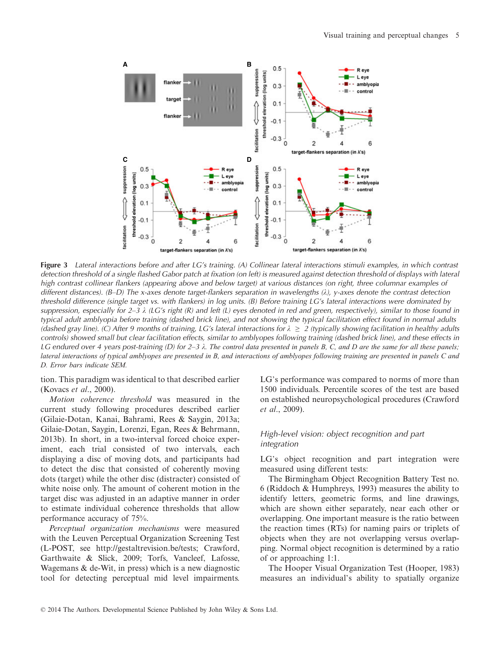

Figure 3 Lateral interactions before and after LG's training. (A) Collinear lateral interactions stimuli examples, in which contrast detection threshold of a single flashed Gabor patch at fixation (on left) is measured against detection threshold of displays with lateral high contrast collinear flankers (appearing above and below target) at various distances (on right, three columnar examples of different distances). (B–D) The x-axes denote target-flankers separation in wavelengths  $(\lambda)$ , y-axes denote the contrast detection threshold difference (single target vs. with flankers) in log units. (B) Before training LG's lateral interactions were dominated by suppression, especially for 2–3  $\lambda$  (LG's right (R) and left (L) eyes denoted in red and green, respectively), similar to those found in typical adult amblyopia before training (dashed brick line), and not showing the typical facilitation effect found in normal adults (dashed gray line). (C) After 9 months of training, LG's lateral interactions for  $\lambda \geq 2$  (typically showing facilitation in healthy adults controls) showed small but clear facilitation effects, similar to amblyopes following training (dashed brick line), and these effects in LG endured over 4 years post-training  $(D)$  for 2–3  $\lambda$ . The control data presented in panels B, C, and D are the same for all these panels; lateral interactions of typical amblyopes are presented in B, and interactions of amblyopes following training are presented in panels C and D. Error bars indicate SEM.

tion. This paradigm was identical to that described earlier (Kovacs et al., 2000).

Motion coherence threshold was measured in the current study following procedures described earlier (Gilaie-Dotan, Kanai, Bahrami, Rees & Saygin, 2013a; Gilaie-Dotan, Saygin, Lorenzi, Egan, Rees & Behrmann, 2013b). In short, in a two-interval forced choice experiment, each trial consisted of two intervals, each displaying a disc of moving dots, and participants had to detect the disc that consisted of coherently moving dots (target) while the other disc (distracter) consisted of white noise only. The amount of coherent motion in the target disc was adjusted in an adaptive manner in order to estimate individual coherence thresholds that allow performance accuracy of 75%.

Perceptual organization mechanisms were measured with the Leuven Perceptual Organization Screening Test (L-POST, see http://gestaltrevision.be/tests; Crawford, Garthwaite & Slick, 2009; Torfs, Vancleef, Lafosse, Wagemans & de-Wit, in press) which is a new diagnostic tool for detecting perceptual mid level impairments. LG's performance was compared to norms of more than 1500 individuals. Percentile scores of the test are based on established neuropsychological procedures (Crawford et al., 2009).

## High-level vision: object recognition and part integration

LG's object recognition and part integration were measured using different tests:

The Birmingham Object Recognition Battery Test no. 6 (Riddoch & Humphreys, 1993) measures the ability to identify letters, geometric forms, and line drawings, which are shown either separately, near each other or overlapping. One important measure is the ratio between the reaction times (RTs) for naming pairs or triplets of objects when they are not overlapping versus overlapping. Normal object recognition is determined by a ratio of or approaching 1:1.

The Hooper Visual Organization Test (Hooper, 1983) measures an individual's ability to spatially organize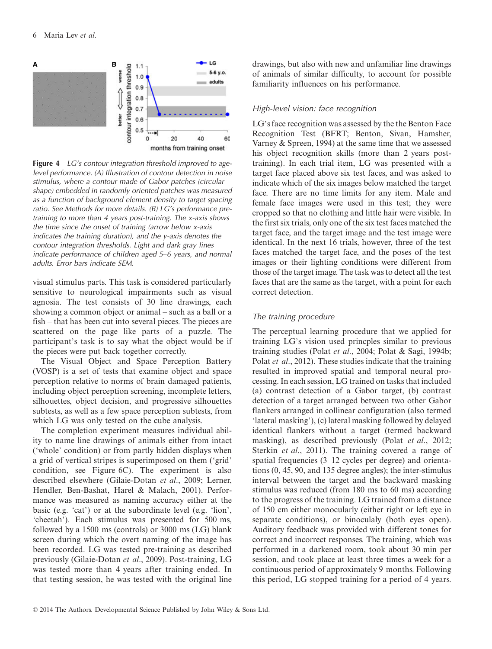

**Figure 4** LG's contour integration threshold improved to agelevel performance. (A) Illustration of contour detection in noise stimulus, where a contour made of Gabor patches (circular shape) embedded in randomly oriented patches was measured as a function of background element density to target spacing ratio. See Methods for more details. (B) LG's performance pretraining to more than 4 years post-training. The x-axis shows the time since the onset of training (arrow below x-axis indicates the training duration), and the y-axis denotes the contour integration thresholds. Light and dark gray lines indicate performance of children aged 5–6 years, and normal adults. Error bars indicate SEM.

visual stimulus parts. This task is considered particularly sensitive to neurological impairments such as visual agnosia. The test consists of 30 line drawings, each showing a common object or animal – such as a ball or a fish – that has been cut into several pieces. The pieces are scattered on the page like parts of a puzzle. The participant's task is to say what the object would be if the pieces were put back together correctly.

The Visual Object and Space Perception Battery (VOSP) is a set of tests that examine object and space perception relative to norms of brain damaged patients, including object perception screening, incomplete letters, silhouettes, object decision, and progressive silhouettes subtests, as well as a few space perception subtests, from which LG was only tested on the cube analysis.

The completion experiment measures individual ability to name line drawings of animals either from intact ('whole' condition) or from partly hidden displays when a grid of vertical stripes is superimposed on them ('grid' condition, see Figure 6C). The experiment is also described elsewhere (Gilaie-Dotan et al., 2009; Lerner, Hendler, Ben-Bashat, Harel & Malach, 2001). Performance was measured as naming accuracy either at the basic (e.g. 'cat') or at the subordinate level (e.g. 'lion', 'cheetah'). Each stimulus was presented for 500 ms, followed by a 1500 ms (controls) or 3000 ms (LG) blank screen during which the overt naming of the image has been recorded. LG was tested pre-training as described previously (Gilaie-Dotan et al., 2009). Post-training, LG was tested more than 4 years after training ended. In that testing session, he was tested with the original line

drawings, but also with new and unfamiliar line drawings of animals of similar difficulty, to account for possible familiarity influences on his performance.

#### High-level vision: face recognition

LG's face recognition was assessed by the the Benton Face Recognition Test (BFRT; Benton, Sivan, Hamsher, Varney & Spreen, 1994) at the same time that we assessed his object recognition skills (more than 2 years posttraining). In each trial item, LG was presented with a target face placed above six test faces, and was asked to indicate which of the six images below matched the target face. There are no time limits for any item. Male and female face images were used in this test; they were cropped so that no clothing and little hair were visible. In the first six trials, only one of the six test faces matched the target face, and the target image and the test image were identical. In the next 16 trials, however, three of the test faces matched the target face, and the poses of the test images or their lighting conditions were different from those of the target image. The task was to detect all the test faces that are the same as the target, with a point for each correct detection.

## The training procedure

The perceptual learning procedure that we applied for training LG's vision used princples similar to previous training studies (Polat et al., 2004; Polat & Sagi, 1994b; Polat et al., 2012). These studies indicate that the training resulted in improved spatial and temporal neural processing. In each session, LG trained on tasks that included (a) contrast detection of a Gabor target, (b) contrast detection of a target arranged between two other Gabor flankers arranged in collinear configuration (also termed 'lateral masking'), (c) lateral masking followed by delayed identical flankers without a target (termed backward masking), as described previously (Polat et al., 2012; Sterkin et al., 2011). The training covered a range of spatial frequencies (3–12 cycles per degree) and orientations (0, 45, 90, and 135 degree angles); the inter-stimulus interval between the target and the backward masking stimulus was reduced (from 180 ms to 60 ms) according to the progress of the training. LG trained from a distance of 150 cm either monocularly (either right or left eye in separate conditions), or binoculaly (both eyes open). Auditory feedback was provided with different tones for correct and incorrect responses. The training, which was performed in a darkened room, took about 30 min per session, and took place at least three times a week for a continuous period of approximately 9 months. Following this period, LG stopped training for a period of 4 years.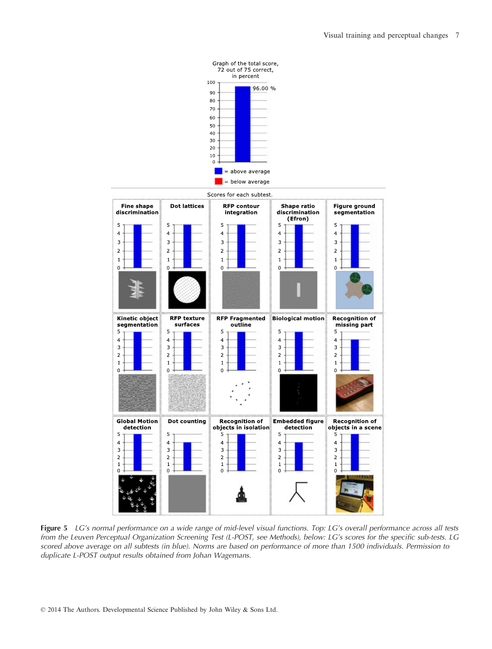

Figure 5 LG's normal performance on a wide range of mid-level visual functions. Top: LG's overall performance across all tests from the Leuven Perceptual Organization Screening Test (L-POST, see Methods), below: LG's scores for the specific sub-tests. LG scored above average on all subtests (in blue). Norms are based on performance of more than 1500 individuals. Permission to duplicate L-POST output results obtained from Johan Wagemans.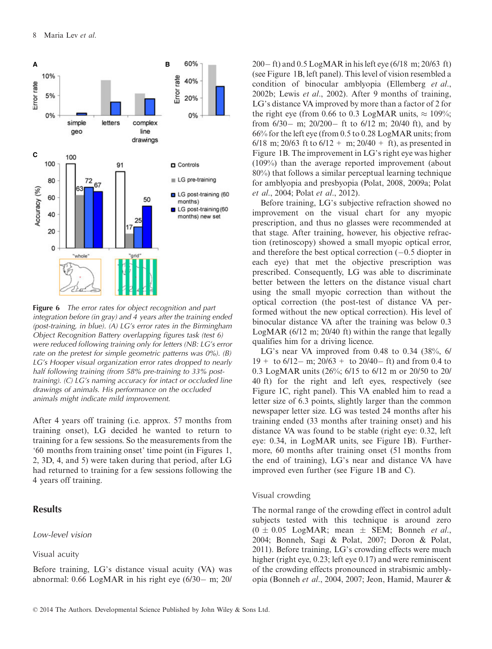

Figure 6 The error rates for object recognition and part integration before (in gray) and 4 years after the training ended (post-training, in blue). (A) LG's error rates in the Birmingham Object Recognition Battery overlapping figures task (test 6) were reduced following training only for letters (NB: LG's error rate on the pretest for simple geometric patterns was  $0\%$ . (B) LG's Hooper visual organization error rates dropped to nearly half following training (from 58% pre-training to 33% posttraining). (C) LG's naming accuracy for intact or occluded line drawings of animals. His performance on the occluded animals might indicate mild improvement.

After 4 years off training (i.e. approx. 57 months from training onset), LG decided he wanted to return to training for a few sessions. So the measurements from the '60 months from training onset' time point (in Figures 1, 2, 3D, 4, and 5) were taken during that period, after LG had returned to training for a few sessions following the 4 years off training.

## Results

#### Low-level vision

### Visual acuity

Before training, LG's distance visual acuity (VA) was abnormal:  $0.66$  LogMAR in his right eye  $(6/30 - m; 20/$   $200 - ft$ ) and  $0.5$  LogMAR in his left eye (6/18 m; 20/63 ft) (see Figure 1B, left panel). This level of vision resembled a condition of binocular amblyopia (Ellemberg et al., 2002b; Lewis et al., 2002). After 9 months of training, LG's distance VA improved by more than a factor of 2 for the right eye (from 0.66 to 0.3 LogMAR units,  $\approx 109\%$ ; from  $6/30 - m$ ;  $20/200 - ft$  to  $6/12$  m;  $20/40$  ft), and by 66% for the left eye (from 0.5 to 0.28 LogMAR units; from 6/18 m; 20/63 ft to  $6/12 + m$ ; 20/40 + ft), as presented in Figure 1B. The improvement in LG's right eye was higher (109%) than the average reported improvement (about 80%) that follows a similar perceptual learning technique for amblyopia and presbyopia (Polat, 2008, 2009a; Polat et al., 2004; Polat et al., 2012).

Before training, LG's subjective refraction showed no improvement on the visual chart for any myopic prescription, and thus no glasses were recommended at that stage. After training, however, his objective refraction (retinoscopy) showed a small myopic optical error, and therefore the best optical correction  $(-0.5$  diopter in each eye) that met the objective prescription was prescribed. Consequently, LG was able to discriminate better between the letters on the distance visual chart using the small myopic correction than without the optical correction (the post-test of distance VA performed without the new optical correction). His level of binocular distance VA after the training was below 0.3 LogMAR (6/12 m; 20/40 ft) within the range that legally qualifies him for a driving licence.

LG's near VA improved from  $0.48$  to  $0.34$   $(38\%, 6/$  $19 +$  to  $6/12 -$  m;  $20/63 +$  to  $20/40 -$  ft) and from 0.4 to 0.3 LogMAR units (26%; 6/15 to 6/12 m or 20/50 to 20/ 40 ft) for the right and left eyes, respectively (see Figure 1C, right panel). This VA enabled him to read a letter size of 6.3 points, slightly larger than the common newspaper letter size. LG was tested 24 months after his training ended (33 months after training onset) and his distance VA was found to be stable (right eye: 0.32, left eye: 0.34, in LogMAR units, see Figure 1B). Furthermore, 60 months after training onset (51 months from the end of training), LG's near and distance VA have improved even further (see Figure 1B and C).

#### Visual crowding

The normal range of the crowding effect in control adult subjects tested with this technique is around zero  $(0 \pm 0.05$  LogMAR; mean  $\pm$  SEM; Bonneh *et al.*, 2004; Bonneh, Sagi & Polat, 2007; Doron & Polat, 2011). Before training, LG's crowding effects were much higher (right eye, 0.23; left eye 0.17) and were reminiscent of the crowding effects pronounced in strabismic amblyopia (Bonneh et al., 2004, 2007; Jeon, Hamid, Maurer &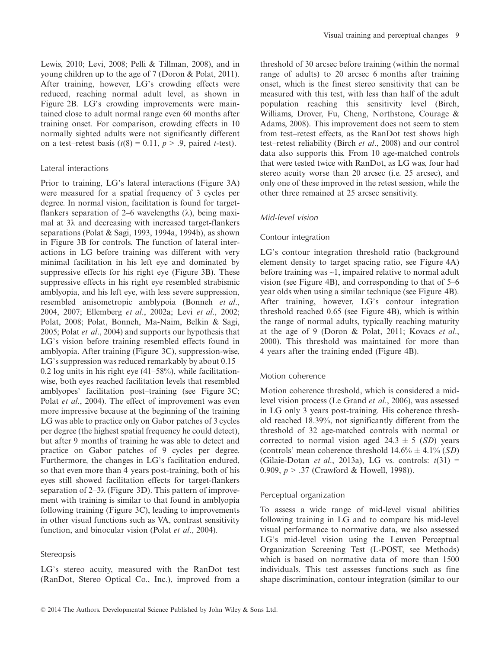Lewis, 2010; Levi, 2008; Pelli & Tillman, 2008), and in young children up to the age of 7 (Doron & Polat, 2011). After training, however, LG's crowding effects were reduced, reaching normal adult level, as shown in Figure 2B. LG's crowding improvements were maintained close to adult normal range even 60 months after training onset. For comparison, crowding effects in 10 normally sighted adults were not significantly different on a test–retest basis  $(t(8) = 0.11, p > .9$ , paired *t*-test).

#### Lateral interactions

Prior to training, LG's lateral interactions (Figure 3A) were measured for a spatial frequency of 3 cycles per degree. In normal vision, facilitation is found for targetflankers separation of 2–6 wavelengths  $(\lambda)$ , being maximal at  $3\lambda$  and decreasing with increased target-flankers separations (Polat & Sagi, 1993, 1994a, 1994b), as shown in Figure 3B for controls. The function of lateral interactions in LG before training was different with very minimal facilitation in his left eye and dominated by suppressive effects for his right eye (Figure 3B). These suppressive effects in his right eye resembled strabismic amblyopia, and his left eye, with less severe suppression, resembled anisometropic amblypoia (Bonneh et al., 2004, 2007; Ellemberg et al., 2002a; Levi et al., 2002; Polat, 2008; Polat, Bonneh, Ma-Naim, Belkin & Sagi, 2005; Polat et al., 2004) and supports our hypothesis that LG's vision before training resembled effects found in amblyopia. After training (Figure 3C), suppression-wise, LG's suppression was reduced remarkably by about 0.15– 0.2 log units in his right eye  $(41–58%)$ , while facilitationwise, both eyes reached facilitation levels that resembled amblyopes' facilitation post–training (see Figure 3C; Polat et al., 2004). The effect of improvement was even more impressive because at the beginning of the training LG was able to practice only on Gabor patches of 3 cycles per degree (the highest spatial frequency he could detect), but after 9 months of training he was able to detect and practice on Gabor patches of 9 cycles per degree. Furthermore, the changes in LG's facilitation endured, so that even more than 4 years post-training, both of his eyes still showed facilitation effects for target-flankers separation of  $2-3\lambda$  (Figure 3D). This pattern of improvement with training is similar to that found in amblyopia following training (Figure 3C), leading to improvements in other visual functions such as VA, contrast sensitivity function, and binocular vision (Polat *et al.*, 2004).

#### Stereopsis

LG's stereo acuity, measured with the RanDot test (RanDot, Stereo Optical Co., Inc.), improved from a

threshold of 30 arcsec before training (within the normal range of adults) to 20 arcsec 6 months after training onset, which is the finest stereo sensitivity that can be measured with this test, with less than half of the adult population reaching this sensitivity level (Birch, Williams, Drover, Fu, Cheng, Northstone, Courage & Adams, 2008). This improvement does not seem to stem from test–retest effects, as the RanDot test shows high test–retest reliability (Birch et al., 2008) and our control data also supports this. From 10 age-matched controls that were tested twice with RanDot, as LG was, four had stereo acuity worse than 20 arcsec (i.e. 25 arcsec), and only one of these improved in the retest session, while the other three remained at 25 arcsec sensitivity.

## Mid-level vision

### Contour integration

LG's contour integration threshold ratio (background element density to target spacing ratio, see Figure 4A) before training was ~1, impaired relative to normal adult vision (see Figure 4B), and corresponding to that of 5–6 year olds when using a similar technique (see Figure 4B). After training, however, LG's contour integration threshold reached 0.65 (see Figure 4B), which is within the range of normal adults, typically reaching maturity at the age of 9 (Doron & Polat, 2011; Kovacs et al., 2000). This threshold was maintained for more than 4 years after the training ended (Figure 4B).

## Motion coherence

Motion coherence threshold, which is considered a midlevel vision process (Le Grand et al., 2006), was assessed in LG only 3 years post-training. His coherence threshold reached 18.39%, not significantly different from the threshold of 32 age-matched controls with normal or corrected to normal vision aged  $24.3 \pm 5$  (SD) years (controls' mean coherence threshold  $14.6\% \pm 4.1\%$  (SD) (Gilaie-Dotan *et al.*, 2013a), LG vs. controls:  $t(31)$  = 0.909,  $p > .37$  (Crawford & Howell, 1998)).

#### Perceptual organization

To assess a wide range of mid-level visual abilities following training in LG and to compare his mid-level visual performance to normative data, we also assessed LG's mid-level vision using the Leuven Perceptual Organization Screening Test (L-POST, see Methods) which is based on normative data of more than 1500 individuals. This test assesses functions such as fine shape discrimination, contour integration (similar to our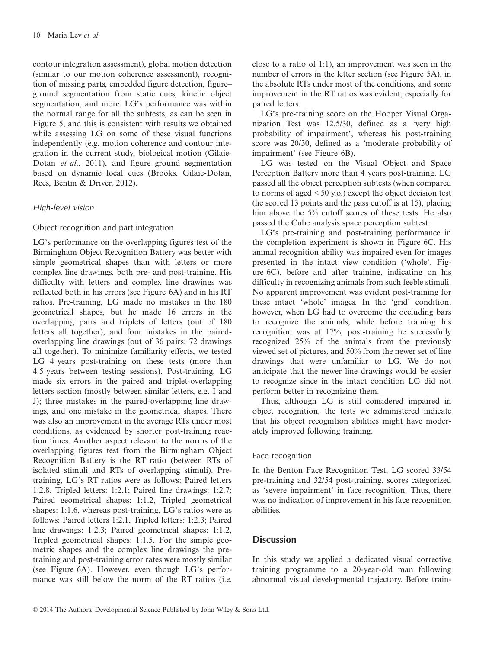contour integration assessment), global motion detection (similar to our motion coherence assessment), recognition of missing parts, embedded figure detection, figure– ground segmentation from static cues, kinetic object segmentation, and more. LG's performance was within the normal range for all the subtests, as can be seen in Figure 5, and this is consistent with results we obtained while assessing LG on some of these visual functions independently (e.g. motion coherence and contour integration in the current study, biological motion (Gilaie-Dotan et al., 2011), and figure–ground segmentation based on dynamic local cues (Brooks, Gilaie-Dotan, Rees, Bentin & Driver, 2012).

## High-level vision

## Object recognition and part integration

LG's performance on the overlapping figures test of the Birmingham Object Recognition Battery was better with simple geometrical shapes than with letters or more complex line drawings, both pre- and post-training. His difficulty with letters and complex line drawings was reflected both in his errors (see Figure 6A) and in his RT ratios. Pre-training, LG made no mistakes in the 180 geometrical shapes, but he made 16 errors in the overlapping pairs and triplets of letters (out of 180 letters all together), and four mistakes in the pairedoverlapping line drawings (out of 36 pairs; 72 drawings all together). To minimize familiarity effects, we tested LG 4 years post-training on these tests (more than 4.5 years between testing sessions). Post-training, LG made six errors in the paired and triplet-overlapping letters section (mostly between similar letters, e.g. I and J); three mistakes in the paired-overlapping line drawings, and one mistake in the geometrical shapes. There was also an improvement in the average RTs under most conditions, as evidenced by shorter post-training reaction times. Another aspect relevant to the norms of the overlapping figures test from the Birmingham Object Recognition Battery is the RT ratio (between RTs of isolated stimuli and RTs of overlapping stimuli). Pretraining, LG's RT ratios were as follows: Paired letters 1:2.8, Tripled letters: 1:2.1; Paired line drawings: 1:2.7; Paired geometrical shapes: 1:1.2, Tripled geometrical shapes: 1:1.6, whereas post-training, LG's ratios were as follows: Paired letters 1:2.1, Tripled letters: 1:2.3; Paired line drawings: 1:2.3; Paired geometrical shapes: 1:1.2, Tripled geometrical shapes: 1:1.5. For the simple geometric shapes and the complex line drawings the pretraining and post-training error rates were mostly similar (see Figure 6A). However, even though LG's performance was still below the norm of the RT ratios (i.e.

close to a ratio of 1:1), an improvement was seen in the number of errors in the letter section (see Figure 5A), in the absolute RTs under most of the conditions, and some improvement in the RT ratios was evident, especially for paired letters.

LG's pre-training score on the Hooper Visual Organization Test was 12.5/30, defined as a 'very high probability of impairment', whereas his post-training score was 20/30, defined as a 'moderate probability of impairment' (see Figure 6B).

LG was tested on the Visual Object and Space Perception Battery more than 4 years post-training. LG passed all the object perception subtests (when compared to norms of aged < 50 y.o.) except the object decision test (he scored 13 points and the pass cutoff is at 15), placing him above the 5% cutoff scores of these tests. He also passed the Cube analysis space perception subtest.

LG's pre-training and post-training performance in the completion experiment is shown in Figure 6C. His animal recognition ability was impaired even for images presented in the intact view condition ('whole', Figure 6C), before and after training, indicating on his difficulty in recognizing animals from such feeble stimuli. No apparent improvement was evident post-training for these intact 'whole' images. In the 'grid' condition, however, when LG had to overcome the occluding bars to recognize the animals, while before training his recognition was at 17%, post-training he successfully recognized 25% of the animals from the previously viewed set of pictures, and 50% from the newer set of line drawings that were unfamiliar to LG. We do not anticipate that the newer line drawings would be easier to recognize since in the intact condition LG did not perform better in recognizing them.

Thus, although LG is still considered impaired in object recognition, the tests we administered indicate that his object recognition abilities might have moderately improved following training.

## Face recognition

In the Benton Face Recognition Test, LG scored 33/54 pre-training and 32/54 post-training, scores categorized as 'severe impairment' in face recognition. Thus, there was no indication of improvement in his face recognition abilities.

## **Discussion**

In this study we applied a dedicated visual corrective training programme to a 20-year-old man following abnormal visual developmental trajectory. Before train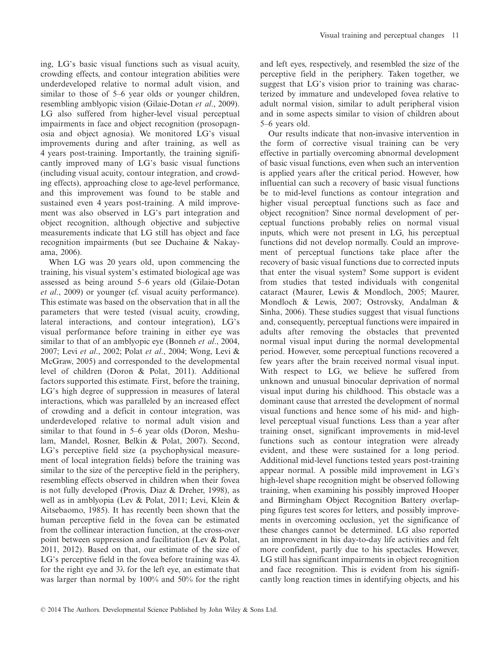ing, LG's basic visual functions such as visual acuity, crowding effects, and contour integration abilities were underdeveloped relative to normal adult vision, and similar to those of 5–6 year olds or younger children, resembling amblyopic vision (Gilaie-Dotan et al., 2009). LG also suffered from higher-level visual perceptual impairments in face and object recognition (prosopagnosia and object agnosia). We monitored LG's visual improvements during and after training, as well as 4 years post-training. Importantly, the training significantly improved many of LG's basic visual functions (including visual acuity, contour integration, and crowding effects), approaching close to age-level performance, and this improvement was found to be stable and sustained even 4 years post-training. A mild improvement was also observed in LG's part integration and object recognition, although objective and subjective measurements indicate that LG still has object and face recognition impairments (but see Duchaine & Nakayama, 2006).

When LG was 20 years old, upon commencing the training, his visual system's estimated biological age was assessed as being around 5–6 years old (Gilaie-Dotan et al., 2009) or younger (cf. visual acuity performance). This estimate was based on the observation that in all the parameters that were tested (visual acuity, crowding, lateral interactions, and contour integration), LG's visual performance before training in either eye was similar to that of an amblyopic eye (Bonneh et al., 2004, 2007; Levi et al., 2002; Polat et al., 2004; Wong, Levi & McGraw, 2005) and corresponded to the developmental level of children (Doron & Polat, 2011). Additional factors supported this estimate. First, before the training, LG's high degree of suppression in measures of lateral interactions, which was paralleled by an increased effect of crowding and a deficit in contour integration, was underdeveloped relative to normal adult vision and similar to that found in 5–6 year olds (Doron, Meshulam, Mandel, Rosner, Belkin & Polat, 2007). Second, LG's perceptive field size (a psychophysical measurement of local integration fields) before the training was similar to the size of the perceptive field in the periphery, resembling effects observed in children when their fovea is not fully developed (Provis, Diaz & Dreher, 1998), as well as in amblyopia (Lev & Polat, 2011; Levi, Klein & Aitsebaomo, 1985). It has recently been shown that the human perceptive field in the fovea can be estimated from the collinear interaction function, at the cross-over point between suppression and facilitation (Lev  $&$  Polat, 2011, 2012). Based on that, our estimate of the size of LG's perceptive field in the fovea before training was  $4\lambda$ for the right eye and  $3\lambda$  for the left eye, an estimate that was larger than normal by 100% and 50% for the right and left eyes, respectively, and resembled the size of the perceptive field in the periphery. Taken together, we suggest that LG's vision prior to training was characterized by immature and undeveloped fovea relative to adult normal vision, similar to adult peripheral vision and in some aspects similar to vision of children about 5–6 years old.

Our results indicate that non-invasive intervention in the form of corrective visual training can be very effective in partially overcoming abnormal development of basic visual functions, even when such an intervention is applied years after the critical period. However, how influential can such a recovery of basic visual functions be to mid-level functions as contour integration and higher visual perceptual functions such as face and object recognition? Since normal development of perceptual functions probably relies on normal visual inputs, which were not present in LG, his perceptual functions did not develop normally. Could an improvement of perceptual functions take place after the recovery of basic visual functions due to corrected inputs that enter the visual system? Some support is evident from studies that tested individuals with congenital cataract (Maurer, Lewis & Mondloch, 2005; Maurer, Mondloch & Lewis, 2007; Ostrovsky, Andalman & Sinha, 2006). These studies suggest that visual functions and, consequently, perceptual functions were impaired in adults after removing the obstacles that prevented normal visual input during the normal developmental period. However, some perceptual functions recovered a few years after the brain received normal visual input. With respect to LG, we believe he suffered from unknown and unusual binocular deprivation of normal visual input during his childhood. This obstacle was a dominant cause that arrested the development of normal visual functions and hence some of his mid- and highlevel perceptual visual functions. Less than a year after training onset, significant improvements in mid-level functions such as contour integration were already evident, and these were sustained for a long period. Additional mid-level functions tested years post-training appear normal. A possible mild improvement in LG's high-level shape recognition might be observed following training, when examining his possibly improved Hooper and Birmingham Object Recognition Battery overlapping figures test scores for letters, and possibly improvements in overcoming occlusion, yet the significance of these changes cannot be determined. LG also reported an improvement in his day-to-day life activities and felt more confident, partly due to his spectacles. However, LG still has significant impairments in object recognition and face recognition. This is evident from his significantly long reaction times in identifying objects, and his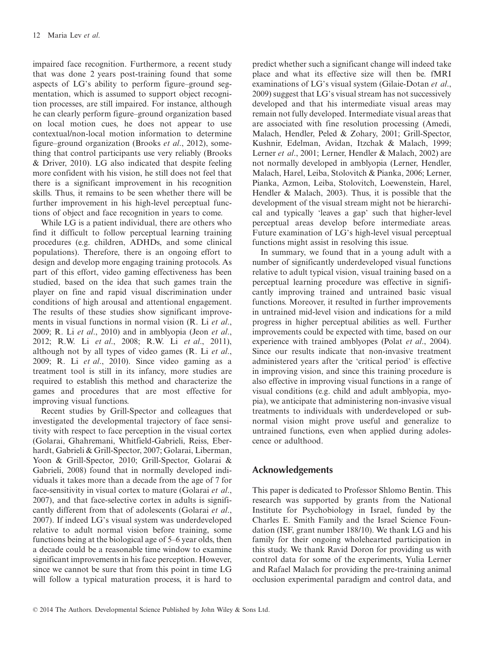impaired face recognition. Furthermore, a recent study that was done 2 years post-training found that some aspects of LG's ability to perform figure–ground segmentation, which is assumed to support object recognition processes, are still impaired. For instance, although he can clearly perform figure–ground organization based on local motion cues, he does not appear to use contextual/non-local motion information to determine figure–ground organization (Brooks et al., 2012), something that control participants use very reliably (Brooks & Driver, 2010). LG also indicated that despite feeling more confident with his vision, he still does not feel that there is a significant improvement in his recognition skills. Thus, it remains to be seen whether there will be further improvement in his high-level perceptual functions of object and face recognition in years to come.

While LG is a patient individual, there are others who find it difficult to follow perceptual learning training procedures (e.g. children, ADHDs, and some clinical populations). Therefore, there is an ongoing effort to design and develop more engaging training protocols. As part of this effort, video gaming effectiveness has been studied, based on the idea that such games train the player on fine and rapid visual discrimination under conditions of high arousal and attentional engagement. The results of these studies show significant improvements in visual functions in normal vision (R. Li et al., 2009; R. Li et al., 2010) and in amblyopia (Jeon et al., 2012; R.W. Li et al., 2008; R.W. Li et al., 2011), although not by all types of video games (R. Li et al., 2009; R. Li  $et$  al., 2010). Since video gaming as a treatment tool is still in its infancy, more studies are required to establish this method and characterize the games and procedures that are most effective for improving visual functions.

Recent studies by Grill-Spector and colleagues that investigated the developmental trajectory of face sensitivity with respect to face perception in the visual cortex (Golarai, Ghahremani, Whitfield-Gabrieli, Reiss, Eberhardt, Gabrieli & Grill-Spector, 2007; Golarai, Liberman, Yoon & Grill-Spector, 2010; Grill-Spector, Golarai & Gabrieli, 2008) found that in normally developed individuals it takes more than a decade from the age of 7 for face-sensitivity in visual cortex to mature (Golarai et al., 2007), and that face-selective cortex in adults is significantly different from that of adolescents (Golarai et al., 2007). If indeed LG's visual system was underdeveloped relative to adult normal vision before training, some functions being at the biological age of 5–6 year olds, then a decade could be a reasonable time window to examine significant improvements in his face perception. However, since we cannot be sure that from this point in time LG will follow a typical maturation process, it is hard to predict whether such a significant change will indeed take place and what its effective size will then be. fMRI examinations of LG's visual system (Gilaie-Dotan *et al.*, 2009) suggest that LG's visual stream has not successively developed and that his intermediate visual areas may remain not fully developed. Intermediate visual areas that are associated with fine resolution processing (Amedi, Malach, Hendler, Peled & Zohary, 2001; Grill-Spector, Kushnir, Edelman, Avidan, Itzchak & Malach, 1999; Lerner et al., 2001; Lerner, Hendler & Malach, 2002) are not normally developed in amblyopia (Lerner, Hendler, Malach, Harel, Leiba, Stolovitch & Pianka, 2006; Lerner, Pianka, Azmon, Leiba, Stolovitch, Loewenstein, Harel, Hendler & Malach, 2003). Thus, it is possible that the development of the visual stream might not be hierarchical and typically 'leaves a gap' such that higher-level perceptual areas develop before intermediate areas. Future examination of LG's high-level visual perceptual functions might assist in resolving this issue.

In summary, we found that in a young adult with a number of significantly underdeveloped visual functions relative to adult typical vision, visual training based on a perceptual learning procedure was effective in significantly improving trained and untrained basic visual functions. Moreover, it resulted in further improvements in untrained mid-level vision and indications for a mild progress in higher perceptual abilities as well. Further improvements could be expected with time, based on our experience with trained amblyopes (Polat *et al.*, 2004). Since our results indicate that non-invasive treatment administered years after the 'critical period' is effective in improving vision, and since this training procedure is also effective in improving visual functions in a range of visual conditions (e.g. child and adult amblyopia, myopia), we anticipate that administering non-invasive visual treatments to individuals with underdeveloped or subnormal vision might prove useful and generalize to untrained functions, even when applied during adolescence or adulthood.

# Acknowledgements

This paper is dedicated to Professor Shlomo Bentin. This research was supported by grants from the National Institute for Psychobiology in Israel, funded by the Charles E. Smith Family and the Israel Science Foundation (ISF, grant number 188/10). We thank LG and his family for their ongoing wholehearted participation in this study. We thank Ravid Doron for providing us with control data for some of the experiments, Yulia Lerner and Rafael Malach for providing the pre-training animal occlusion experimental paradigm and control data, and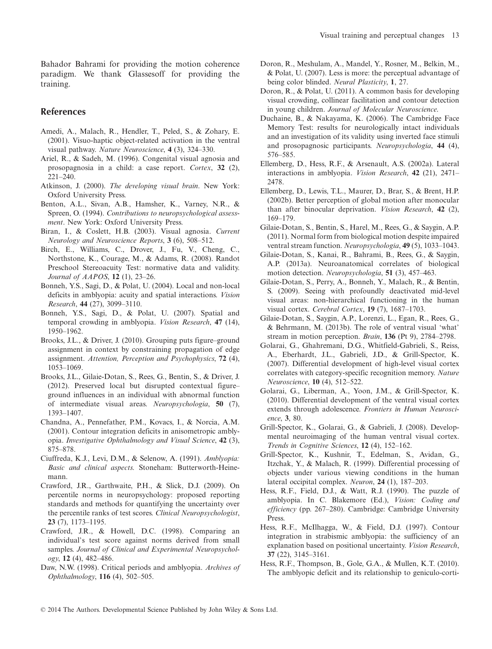Bahador Bahrami for providing the motion coherence paradigm. We thank Glassesoff for providing the training.

## References

- Amedi, A., Malach, R., Hendler, T., Peled, S., & Zohary, E. (2001). Visuo-haptic object-related activation in the ventral visual pathway. Nature Neuroscience, 4 (3), 324–330.
- Ariel, R., & Sadeh, M. (1996). Congenital visual agnosia and prosopagnosia in a child: a case report. Cortex, 32 (2), 221–240.
- Atkinson, J. (2000). The developing visual brain. New York: Oxford University Press.
- Benton, A.L., Sivan, A.B., Hamsher, K., Varney, N.R., & Spreen, O. (1994). Contributions to neuropsychological assessment. New York: Oxford University Press.
- Biran, I., & Coslett, H.B. (2003). Visual agnosia. Current Neurology and Neuroscience Reports, 3 (6), 508–512.
- Birch, E., Williams, C., Drover, J., Fu, V., Cheng, C., Northstone, K., Courage, M., & Adams, R. (2008). Randot Preschool Stereoacuity Test: normative data and validity. Journal of AAPOS, 12 (1), 23–26.
- Bonneh, Y.S., Sagi, D., & Polat, U. (2004). Local and non-local deficits in amblyopia: acuity and spatial interactions. Vision Research, 44 (27), 3099–3110.
- Bonneh, Y.S., Sagi, D., & Polat, U. (2007). Spatial and temporal crowding in amblyopia. Vision Research, 47 (14), 1950–1962.
- Brooks, J.L., & Driver, J. (2010). Grouping puts figure–ground assignment in context by constraining propagation of edge assignment. Attention, Perception and Psychophysics, 72 (4), 1053–1069.
- Brooks, J.L., Gilaie-Dotan, S., Rees, G., Bentin, S., & Driver, J. (2012). Preserved local but disrupted contextual figure– ground influences in an individual with abnormal function of intermediate visual areas. Neuropsychologia, 50 (7), 1393–1407.
- Chandna, A., Pennefather, P.M., Kovacs, I., & Norcia, A.M. (2001). Contour integration deficits in anisometropic amblyopia. Investigative Ophthalmology and Visual Science, 42 (3), 875–878.
- Ciuffreda, K.J., Levi, D.M., & Selenow, A. (1991). Amblyopia: Basic and clinical aspects. Stoneham: Butterworth-Heinemann.
- Crawford, J.R., Garthwaite, P.H., & Slick, D.J. (2009). On percentile norms in neuropsychology: proposed reporting standards and methods for quantifying the uncertainty over the percentile ranks of test scores. Clinical Neuropsychologist, 23 (7), 1173–1195.
- Crawford, J.R., & Howell, D.C. (1998). Comparing an individual's test score against norms derived from small samples. Journal of Clinical and Experimental Neuropsychology, 12 (4), 482–486.
- Daw, N.W. (1998). Critical periods and amblyopia. Archives of Ophthalmology, 116 (4), 502–505.
- Doron, R., Meshulam, A., Mandel, Y., Rosner, M., Belkin, M., & Polat, U. (2007). Less is more: the perceptual advantage of being color blinded. Neural Plasticity, 1, 27.
- Doron, R., & Polat, U. (2011). A common basis for developing visual crowding, collinear facilitation and contour detection in young children. Journal of Molecular Neuroscience.
- Duchaine, B., & Nakayama, K. (2006). The Cambridge Face Memory Test: results for neurologically intact individuals and an investigation of its validity using inverted face stimuli and prosopagnosic participants. Neuropsychologia, 44 (4), 576–585.
- Ellemberg, D., Hess, R.F., & Arsenault, A.S. (2002a). Lateral interactions in amblyopia. Vision Research, 42 (21), 2471– 2478.
- Ellemberg, D., Lewis, T.L., Maurer, D., Brar, S., & Brent, H.P. (2002b). Better perception of global motion after monocular than after binocular deprivation. Vision Research, 42 (2), 169–179.
- Gilaie-Dotan, S., Bentin, S., Harel, M., Rees, G., & Saygin, A.P. (2011). Normal form from biological motion despite impaired ventral stream function. Neuropsychologia, 49 (5), 1033–1043.
- Gilaie-Dotan, S., Kanai, R., Bahrami, B., Rees, G., & Saygin, A.P. (2013a). Neuroanatomical correlates of biological motion detection. Neuropsychologia, 51 (3), 457–463.
- Gilaie-Dotan, S., Perry, A., Bonneh, Y., Malach, R., & Bentin, S. (2009). Seeing with profoundly deactivated mid-level visual areas: non-hierarchical functioning in the human visual cortex. Cerebral Cortex, 19 (7), 1687–1703.
- Gilaie-Dotan, S., Saygin, A.P., Lorenzi, L., Egan, R., Rees, G., & Behrmann, M. (2013b). The role of ventral visual 'what' stream in motion perception. Brain, 136 (Pt 9), 2784–2798.
- Golarai, G., Ghahremani, D.G., Whitfield-Gabrieli, S., Reiss, A., Eberhardt, J.L., Gabrieli, J.D., & Grill-Spector, K. (2007). Differential development of high-level visual cortex correlates with category-specific recognition memory. Nature Neuroscience, 10 (4), 512–522.
- Golarai, G., Liberman, A., Yoon, J.M., & Grill-Spector, K. (2010). Differential development of the ventral visual cortex extends through adolescence. Frontiers in Human Neuroscience, 3, 80.
- Grill-Spector, K., Golarai, G., & Gabrieli, J. (2008). Developmental neuroimaging of the human ventral visual cortex. Trends in Cognitive Sciences, 12 (4), 152–162.
- Grill-Spector, K., Kushnir, T., Edelman, S., Avidan, G., Itzchak, Y., & Malach, R. (1999). Differential processing of objects under various viewing conditions in the human lateral occipital complex. Neuron, 24 (1), 187–203.
- Hess, R.F., Field, D.J., & Watt, R.J. (1990). The puzzle of amblyopia. In C. Blakemore (Ed.), Vision: Coding and efficiency (pp. 267–280). Cambridge: Cambridge University Press.
- Hess, R.F., McIlhagga, W., & Field, D.J. (1997). Contour integration in strabismic amblyopia: the sufficiency of an explanation based on positional uncertainty. Vision Research, 37 (22), 3145–3161.
- Hess, R.F., Thompson, B., Gole, G.A., & Mullen, K.T. (2010). The amblyopic deficit and its relationship to geniculo-corti-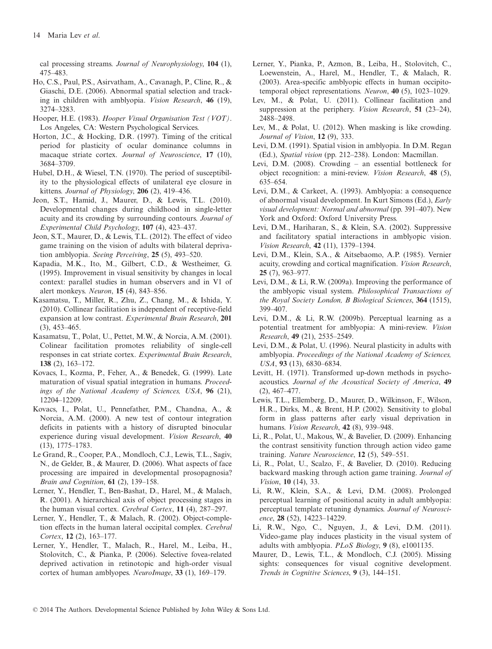cal processing streams. Journal of Neurophysiology, 104 (1), 475–483.

- Ho, C.S., Paul, P.S., Asirvatham, A., Cavanagh, P., Cline, R., & Giaschi, D.E. (2006). Abnormal spatial selection and tracking in children with amblyopia. Vision Research, 46 (19), 3274–3283.
- Hooper, H.E. (1983). Hooper Visual Organisation Test (VOT). Los Angeles, CA: Western Psychological Services.
- Horton, J.C., & Hocking, D.R. (1997). Timing of the critical period for plasticity of ocular dominance columns in macaque striate cortex. Journal of Neuroscience, 17 (10), 3684–3709.
- Hubel, D.H., & Wiesel, T.N. (1970). The period of susceptibility to the physiological effects of unilateral eye closure in kittens. Journal of Physiology, 206 (2), 419–436.
- Jeon, S.T., Hamid, J., Maurer, D., & Lewis, T.L. (2010). Developmental changes during childhood in single-letter acuity and its crowding by surrounding contours. Journal of Experimental Child Psychology, 107 (4), 423–437.
- Jeon, S.T., Maurer, D., & Lewis, T.L. (2012). The effect of video game training on the vision of adults with bilateral deprivation amblyopia. Seeing Perceiving, 25 (5), 493–520.
- Kapadia, M.K., Ito, M., Gilbert, C.D., & Westheimer, G. (1995). Improvement in visual sensitivity by changes in local context: parallel studies in human observers and in V1 of alert monkeys. Neuron, 15 (4), 843–856.
- Kasamatsu, T., Miller, R., Zhu, Z., Chang, M., & Ishida, Y. (2010). Collinear facilitation is independent of receptive-field expansion at low contrast. Experimental Brain Research, 201 (3), 453–465.
- Kasamatsu, T., Polat, U., Pettet, M.W., & Norcia, A.M. (2001). Colinear facilitation promotes reliability of single-cell responses in cat striate cortex. Experimental Brain Research, 138 (2), 163–172.
- Kovacs, I., Kozma, P., Feher, A., & Benedek, G. (1999). Late maturation of visual spatial integration in humans. Proceedings of the National Academy of Sciences, USA, 96 (21), 12204–12209.
- Kovacs, I., Polat, U., Pennefather, P.M., Chandna, A., & Norcia, A.M. (2000). A new test of contour integration deficits in patients with a history of disrupted binocular experience during visual development. Vision Research, 40 (13), 1775–1783.
- Le Grand, R., Cooper, P.A., Mondloch, C.J., Lewis, T.L., Sagiv, N., de Gelder, B., & Maurer, D. (2006). What aspects of face processing are impaired in developmental prosopagnosia? Brain and Cognition, 61 (2), 139–158.
- Lerner, Y., Hendler, T., Ben-Bashat, D., Harel, M., & Malach, R. (2001). A hierarchical axis of object processing stages in the human visual cortex. Cerebral Cortex, 11 (4), 287–297.
- Lerner, Y., Hendler, T., & Malach, R. (2002). Object-completion effects in the human lateral occipital complex. Cerebral Cortex, 12 (2), 163–177.
- Lerner, Y., Hendler, T., Malach, R., Harel, M., Leiba, H., Stolovitch, C., & Pianka, P. (2006). Selective fovea-related deprived activation in retinotopic and high-order visual cortex of human amblyopes. NeuroImage, 33 (1), 169–179.
- Lerner, Y., Pianka, P., Azmon, B., Leiba, H., Stolovitch, C., Loewenstein, A., Harel, M., Hendler, T., & Malach, R. (2003). Area-specific amblyopic effects in human occipitotemporal object representations. Neuron, 40 (5), 1023–1029.
- Lev, M., & Polat, U. (2011). Collinear facilitation and suppression at the periphery. *Vision Research*, 51 (23–24), 2488–2498.
- Lev, M., & Polat, U. (2012). When masking is like crowding. Journal of Vision, 12 (9), 333.
- Levi, D.M. (1991). Spatial vision in amblyopia. In D.M. Regan (Ed.), Spatial vision (pp. 212–238). London: Macmillan.
- Levi, D.M. (2008). Crowding an essential bottleneck for object recognition: a mini-review. Vision Research, 48 (5), 635–654.
- Levi, D.M., & Carkeet, A. (1993). Amblyopia: a consequence of abnormal visual development. In Kurt Simons (Ed.), Early visual development: Normal and abnormal (pp. 391–407). New York and Oxford: Oxford University Press.
- Levi, D.M., Hariharan, S., & Klein, S.A. (2002). Suppressive and facilitatory spatial interactions in amblyopic vision. Vision Research, 42 (11), 1379–1394.
- Levi, D.M., Klein, S.A., & Aitsebaomo, A.P. (1985). Vernier acuity, crowding and cortical magnification. Vision Research, 25 (7), 963–977.
- Levi, D.M., & Li, R.W. (2009a). Improving the performance of the amblyopic visual system. Philosophical Transactions of the Royal Society London, B Biological Sciences, 364 (1515), 399–407.
- Levi, D.M., & Li, R.W. (2009b). Perceptual learning as a potential treatment for amblyopia: A mini-review. Vision Research, 49 (21), 2535–2549.
- Levi, D.M., & Polat, U. (1996). Neural plasticity in adults with amblyopia. Proceedings of the National Academy of Sciences, USA, 93 (13), 6830–6834.
- Levitt, H. (1971). Transformed up-down methods in psychoacoustics. Journal of the Acoustical Society of America, 49 (2), 467–477.
- Lewis, T.L., Ellemberg, D., Maurer, D., Wilkinson, F., Wilson, H.R., Dirks, M., & Brent, H.P. (2002). Sensitivity to global form in glass patterns after early visual deprivation in humans. Vision Research, 42 (8), 939–948.
- Li, R., Polat, U., Makous, W., & Bavelier, D. (2009). Enhancing the contrast sensitivity function through action video game training. Nature Neuroscience, 12 (5), 549–551.
- Li, R., Polat, U., Scalzo, F., & Bavelier, D. (2010). Reducing backward masking through action game training. Journal of Vision, 10 (14), 33.
- Li, R.W., Klein, S.A., & Levi, D.M. (2008). Prolonged perceptual learning of positional acuity in adult amblyopia: perceptual template retuning dynamics. Journal of Neuroscience, 28 (52), 14223–14229.
- Li, R.W., Ngo, C., Nguyen, J., & Levi, D.M. (2011). Video-game play induces plasticity in the visual system of adults with amblyopia. PLoS Biology, 9 (8), e1001135.
- Maurer, D., Lewis, T.L., & Mondloch, C.J. (2005). Missing sights: consequences for visual cognitive development. Trends in Cognitive Sciences, 9 (3), 144–151.